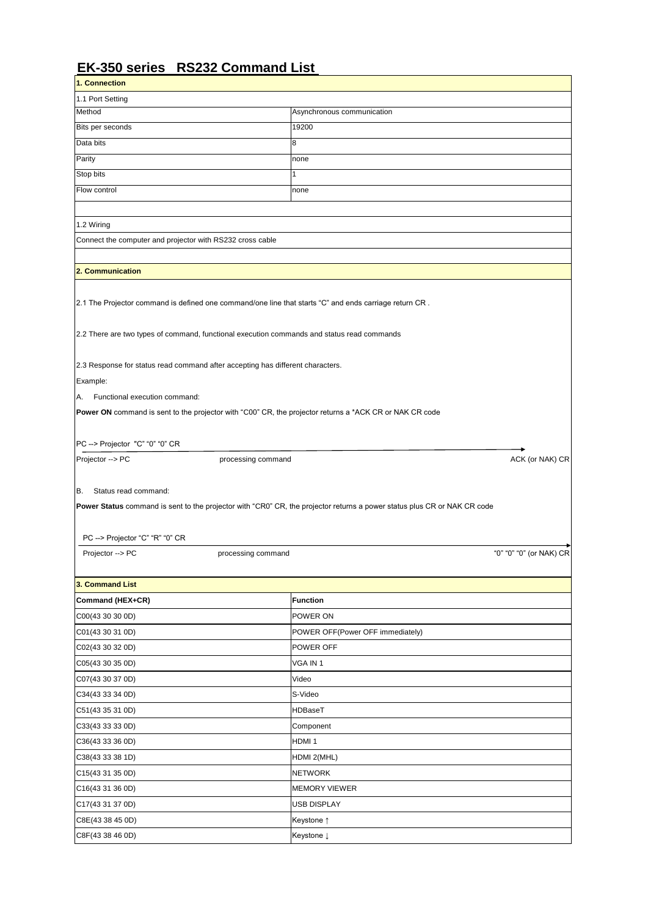## **EK-350 series RS232 Command List**

| 1. Connection                                             |                                                                                |                                                                                                                          |                         |
|-----------------------------------------------------------|--------------------------------------------------------------------------------|--------------------------------------------------------------------------------------------------------------------------|-------------------------|
| 1.1 Port Setting                                          |                                                                                |                                                                                                                          |                         |
| Method                                                    |                                                                                | Asynchronous communication                                                                                               |                         |
| Bits per seconds                                          |                                                                                | 19200                                                                                                                    |                         |
| Data bits                                                 |                                                                                | 8                                                                                                                        |                         |
| Parity                                                    |                                                                                | none                                                                                                                     |                         |
| Stop bits                                                 |                                                                                |                                                                                                                          |                         |
| Flow control                                              |                                                                                | none                                                                                                                     |                         |
| 1.2 Wiring                                                |                                                                                |                                                                                                                          |                         |
| Connect the computer and projector with RS232 cross cable |                                                                                |                                                                                                                          |                         |
|                                                           |                                                                                |                                                                                                                          |                         |
| 2. Communication                                          |                                                                                |                                                                                                                          |                         |
| Example:<br>Functional execution command:<br>IA.          | 2.3 Response for status read command after accepting has different characters. | <b>Power ON</b> command is sent to the projector with "C00" CR, the projector returns a *ACK CR or NAK CR code           |                         |
|                                                           |                                                                                |                                                                                                                          |                         |
| PC --> Projector "C" "0" "0" CR                           |                                                                                |                                                                                                                          |                         |
| Projector --> PC                                          | processing command                                                             |                                                                                                                          | ACK (or NAK) CR         |
| Status read command:<br>IB.                               |                                                                                |                                                                                                                          |                         |
|                                                           |                                                                                | Power Status command is sent to the projector with "CR0" CR, the projector returns a power status plus CR or NAK CR code |                         |
| PC --> Projector "C" "R" "0" CR                           |                                                                                |                                                                                                                          |                         |
| Projector --> PC                                          | processing command                                                             |                                                                                                                          | "0" "0" "0" (or NAK) CR |
| 3. Command List                                           |                                                                                |                                                                                                                          |                         |
| Command (HEX+CR)                                          |                                                                                | Function                                                                                                                 |                         |

| COO(4330300D)             | POWER ON                         |
|---------------------------|----------------------------------|
| C01(43 30 31 0D)          | POWER OFF(Power OFF immediately) |
| C02(43 30 32 0D)          | POWER OFF                        |
| C05(43 30 35 0D)          | VGA IN 1                         |
| $\left[$ C07(43 30 37 0D) | Video                            |
| C34(43 33 34 0D)          | S-Video                          |
| $\vert$ C51(43 35 31 0D)  | <b>HDBaseT</b>                   |
| C33(43 33 33 0D)          | Component                        |
| C36(43 33 36 0D)          | HDMI <sub>1</sub>                |
| C38(43 33 38 1D)          | HDMI 2(MHL)                      |
| $\vert$ C15(43 31 35 0D)  | <b>NETWORK</b>                   |
| C16(4331360D)             | <b>MEMORY VIEWER</b>             |
| C17(4331370D)             | <b>USB DISPLAY</b>               |
| C8E(43 38 45 0D)          | Keystone ↑                       |
| C8F(43 38 46 0D)          | Keystone ↓                       |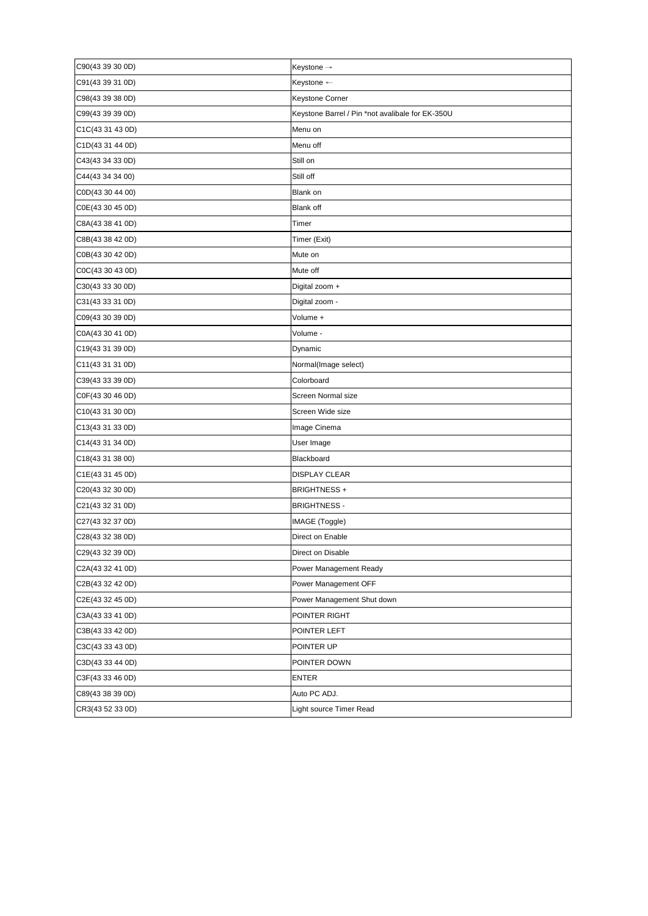| C90(43 39 30 0D)          | Keystone $\rightarrow$                           |
|---------------------------|--------------------------------------------------|
| $\left[$ C91(43 39 31 0D) | Keystone ←                                       |
| C98(43 39 38 0D)          | Keystone Corner                                  |
| C99(43 39 39 0D)          | Keystone Barrel / Pin *not avalibale for EK-350U |
| C1C(43 31 43 0D)          | Menu on                                          |
| $\vert$ C1D(43 31 44 0D)  | Menu off                                         |
| $\vert$ C43(43 34 33 0D)  | Still on                                         |
| $\vert$ C44(43 34 34 00)  | Still off                                        |
| COD(43304400)             | Blank on                                         |
| C0E(43 30 45 0D)          | <b>Blank off</b>                                 |
| C8A(43 38 41 0D)          | Timer                                            |
| C8B(43 38 42 0D)          | Timer (Exit)                                     |
| C0B(43 30 42 0D)          | Mute on                                          |
| COC(43 30 43 OD)          | Mute off                                         |
| C30(4333300D)             | Digital zoom +                                   |
| $\left[$ C31(43 33 31 0D) | Digital zoom -                                   |
| CO9(4330390D)             | Volume +                                         |
| C0A(43 30 41 0D)          | Volume -                                         |
| C19(4331390D)             | Dynamic                                          |
| C11(4331310D)             | Normal(Image select)                             |
| $\vert$ C39(43 33 39 0D)  | Colorboard                                       |
| $\vert$ C0F(43 30 46 0D)  | Screen Normal size                               |
| C10(4331300D)             | Screen Wide size                                 |
| $\vert$ C13(43 31 33 0D)  | Image Cinema                                     |
| C14(4331340D)             | User Image                                       |
| $\vert$ C18(43 31 38 00)  | Blackboard                                       |
| C1E(4331450D)             | <b>DISPLAY CLEAR</b>                             |
| CC20(4332300D)            | <b>BRIGHTNESS +</b>                              |
| C21(4332310D)             | <b>BRIGHTNESS -</b>                              |
| C27(4332370D)             | IMAGE (Toggle)                                   |
| C28(4332380D)             | Direct on Enable                                 |
| CC29(4332390D)            | Direct on Disable                                |
| C2A(43 32 41 0D)          | Power Management Ready                           |
| C2B(43 32 42 0D)          | Power Management OFF                             |
| C2E(43 32 45 0D)          | Power Management Shut down                       |
| C3A(43 33 41 0D)          | POINTER RIGHT                                    |
| C3B(43 33 42 0D)          | POINTER LEFT                                     |
| C3C(43 33 43 0D)          | POINTER UP                                       |
| C3D(4333440D)             | POINTER DOWN                                     |
| $\text{C3F}(4333460D)$    | <b>ENTER</b>                                     |
| C89(43 38 39 0D)          | Auto PC ADJ.                                     |
| CR3(43 52 33 0D)          | Light source Timer Read                          |